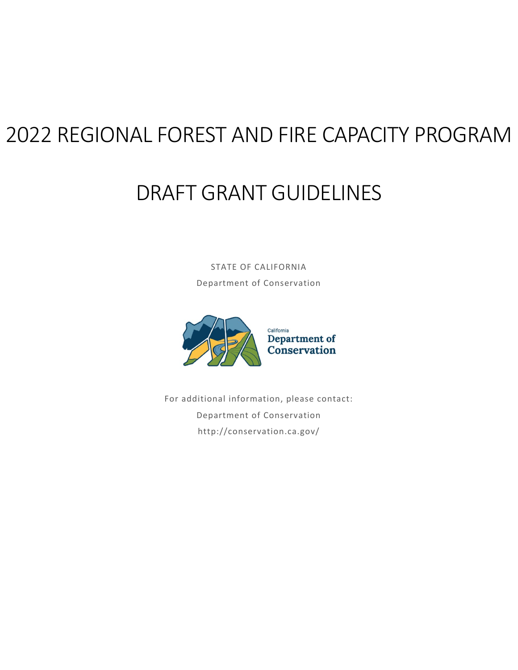# 2022 REGIONAL FOREST AND FIRE CAPACITY PROGRAM

# DRAFT GRANT GUIDELINES

STATE OF CALIFORNIA Department of Conservation



For additional information, please contact: Department of Conservation <http://conservation.ca.gov/>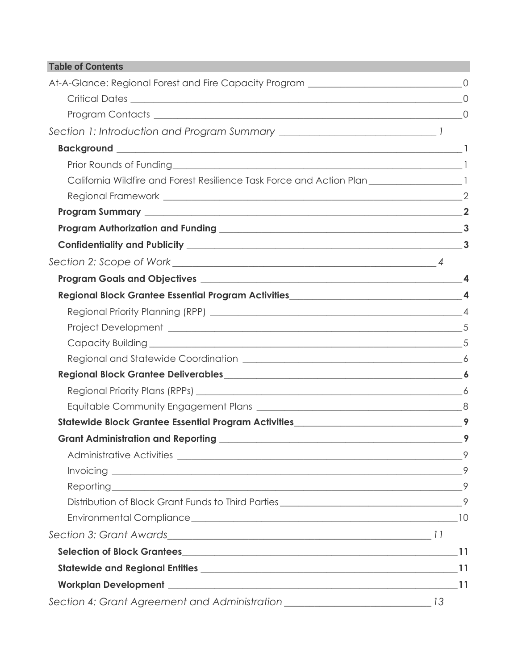| <b>Table of Contents</b>                                                                  |           |
|-------------------------------------------------------------------------------------------|-----------|
| At-A-Glance: Regional Forest and Fire Capacity Program _________________________________0 |           |
|                                                                                           |           |
|                                                                                           |           |
|                                                                                           |           |
|                                                                                           |           |
|                                                                                           |           |
|                                                                                           |           |
|                                                                                           |           |
|                                                                                           |           |
|                                                                                           |           |
|                                                                                           |           |
|                                                                                           |           |
|                                                                                           |           |
| Regional Block Grantee Essential Program Activities_____________________________          |           |
|                                                                                           |           |
|                                                                                           |           |
|                                                                                           |           |
|                                                                                           |           |
|                                                                                           |           |
|                                                                                           |           |
|                                                                                           |           |
|                                                                                           |           |
| <b>Grant Administration and Reporting</b>                                                 |           |
|                                                                                           |           |
|                                                                                           |           |
|                                                                                           |           |
|                                                                                           |           |
|                                                                                           |           |
|                                                                                           |           |
|                                                                                           |           |
|                                                                                           |           |
|                                                                                           | <b>11</b> |
| Section 4: Grant Agreement and Administration __________________________________13        |           |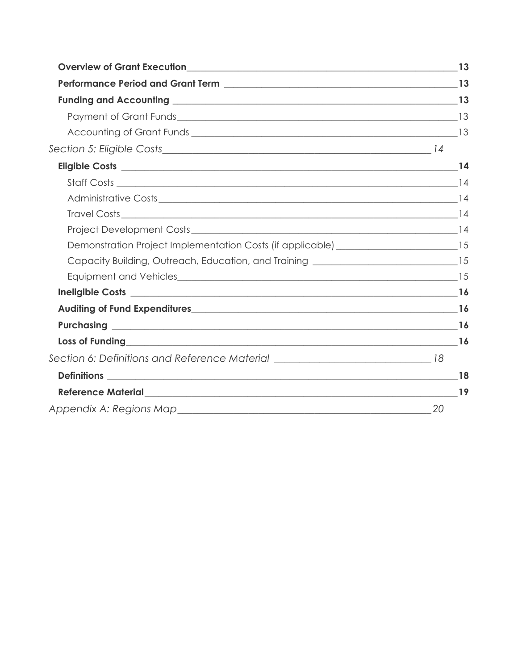| Demonstration Project Implementation Costs (if applicable) ____________________15  |  |
|------------------------------------------------------------------------------------|--|
| Capacity Building, Outreach, Education, and Training ___________________________15 |  |
|                                                                                    |  |
|                                                                                    |  |
|                                                                                    |  |
|                                                                                    |  |
| Loss of Funding 16                                                                 |  |
| Section 6: Definitions and Reference Material __________________________________18 |  |
|                                                                                    |  |
|                                                                                    |  |
|                                                                                    |  |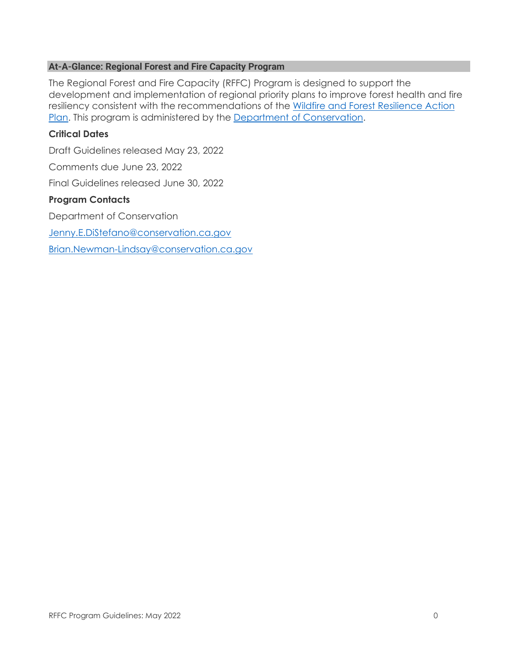#### <span id="page-3-0"></span>**At-A-Glance: Regional Forest and Fire Capacity Program**

The Regional Forest and Fire Capacity (RFFC) Program is designed to support the development and implementation of regional priority plans to improve forest health and fire resiliency consistent with the recommendations of the [Wildfire and Forest Resilience Action](https://fmtf.fire.ca.gov/media/cjwfpckz/californiawildfireandforestresilienceactionplan.pdf)  [Plan.](https://fmtf.fire.ca.gov/media/cjwfpckz/californiawildfireandforestresilienceactionplan.pdf) This program is administered by the [Department of Conservation.](http://conservation.ca.gov/)

#### <span id="page-3-1"></span>**Critical Dates**

<span id="page-3-2"></span>Draft Guidelines released May 23, 2022 Comments due June 23, 2022 Final Guidelines released June 30, 2022 **Program Contacts** Department of Conservation [Jenny.E.DiStefano@conservation.ca.gov](mailto:Jenny.E.DiStefano@conservation.ca.gov)

[Brian.Newman-Lindsay@conservation.ca.gov](mailto:Brian.Newman-Lindsay@conservation.ca.gov)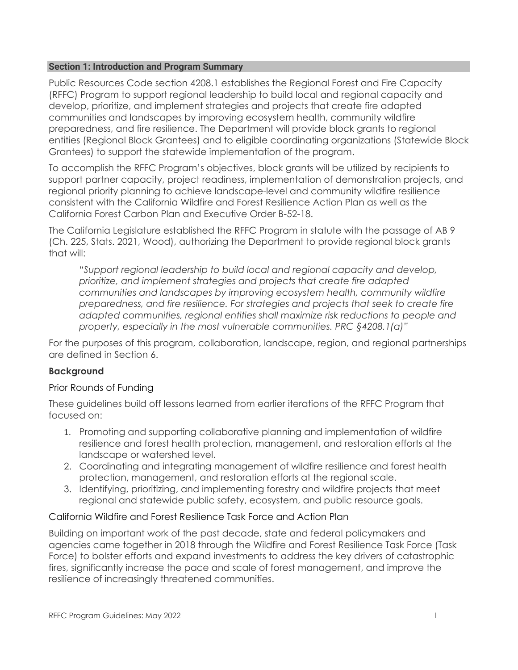#### <span id="page-4-0"></span>**Section 1: Introduction and Program Summary**

Public Resources Code section 4208.1 establishes the Regional Forest and Fire Capacity (RFFC) Program to support regional leadership to build local and regional capacity and develop, prioritize, and implement strategies and projects that create fire adapted communities and landscapes by improving ecosystem health, community wildfire preparedness, and fire resilience. The Department will provide block grants to regional entities (Regional Block Grantees) and to eligible coordinating organizations (Statewide Block Grantees) to support the statewide implementation of the program.

To accomplish the RFFC Program's objectives, block grants will be utilized by recipients to support partner capacity, project readiness, implementation of demonstration projects, and regional priority planning to achieve landscape-level and community wildfire resilience consistent with the [California Wildfire and Forest Resilience Action Plan](https://www.fire.ca.gov/media/ps4p2vck/californiawildfireandforestresilienceactionplan.pdf) as well as the [California Forest Carbon Plan](http://chrome-extension/efaidnbmnnnibpcajpcglclefindmkaj/viewer.html?pdfurl=https%3A%2F%2Fresources.ca.gov%2FCNRALegacyFiles%2Fwp-content%2Fuploads%2F2018%2F05%2FCalifornia-Forest-Carbon-Plan-Final-Draft-for-Public-Release-May-2018.pdf&clen=8941308&chunk=true) and [Executive Order B-52-18.](http://chrome-extension/efaidnbmnnnibpcajpcglclefindmkaj/viewer.html?pdfurl=https%3A%2F%2Fwww.ca.gov%2Farchive%2Fgov39%2Fwp-content%2Fuploads%2F2018%2F05%2F5.10.18-Forest-EO.pdf&clen=402390&chunk=true)

The California Legislature established the RFFC Program in statute with the passage of AB 9 (Ch. 225, Stats. 2021, Wood), authorizing the Department to provide regional block grants that will:

*"Support regional leadership to build local and regional capacity and develop, prioritize, and implement strategies and projects that create fire adapted communities and landscapes by improving ecosystem health, community wildfire preparedness, and fire resilience. For strategies and projects that seek to create fire adapted communities, regional entities shall maximize risk reductions to people and property, especially in the most vulnerable communities. PRC §4208.1(a)"*

For the purposes of this program, collaboration, landscape, region, and regional partnerships are defined in Section 6.

## <span id="page-4-1"></span>**Background**

## <span id="page-4-2"></span>Prior Rounds of Funding

These guidelines build off lessons learned from earlier iterations of the RFFC Program that focused on:

- 1. Promoting and supporting collaborative planning and implementation of wildfire resilience and forest health protection, management, and restoration efforts at the landscape or watershed level.
- 2. Coordinating and integrating management of wildfire resilience and forest health protection, management, and restoration efforts at the regional scale.
- 3. Identifying, prioritizing, and implementing forestry and wildfire projects that meet regional and statewide public safety, ecosystem, and public resource goals.

#### <span id="page-4-3"></span>California Wildfire and Forest Resilience Task Force and Action Plan

Building on important work of the past decade, state and federal policymakers and agencies came together in 2018 through the Wildfire and Forest Resilience Task Force (Task Force) to bolster efforts and expand investments to address the key drivers of catastrophic fires, significantly increase the pace and scale of forest management, and improve the resilience of increasingly threatened communities.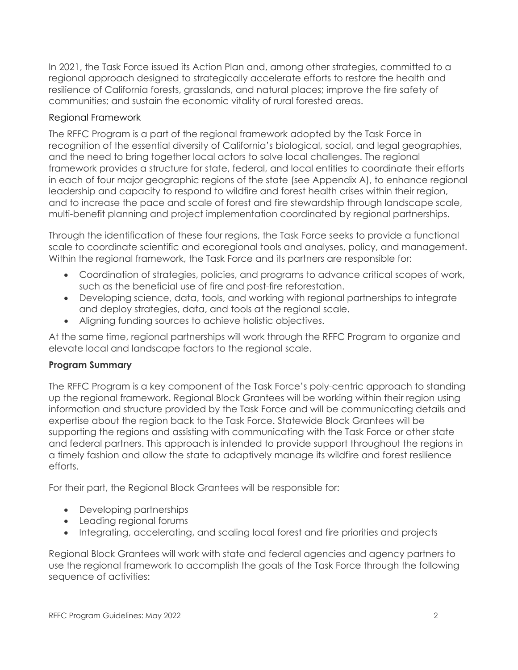In 2021, the Task Force issued its Action Plan and, among other strategies, committed to a regional approach designed to strategically accelerate efforts to restore the health and resilience of California forests, grasslands, and natural places; improve the fire safety of communities; and sustain the economic vitality of rural forested areas.

## <span id="page-5-0"></span>Regional Framework

The RFFC Program is a part of the regional framework adopted by the Task Force in recognition of the essential diversity of California's biological, social, and legal geographies, and the need to bring together local actors to solve local challenges. The regional framework provides a structure for state, federal, and local entities to coordinate their efforts in each of four major geographic regions of the state (see Appendix A), to enhance regional leadership and capacity to respond to wildfire and forest health crises within their region, and to increase the pace and scale of forest and fire stewardship through landscape scale, multi-benefit planning and project implementation coordinated by regional partnerships.

Through the identification of these four regions, the Task Force seeks to provide a functional scale to coordinate scientific and ecoregional tools and analyses, policy, and management. Within the regional framework, the Task Force and its partners are responsible for:

- Coordination of strategies, policies, and programs to advance critical scopes of work, such as the beneficial use of fire and post-fire reforestation.
- Developing science, data, tools, and working with regional partnerships to integrate and deploy strategies, data, and tools at the regional scale.
- Aligning funding sources to achieve holistic objectives.

At the same time, regional partnerships will work through the RFFC Program to organize and elevate local and landscape factors to the regional scale.

# <span id="page-5-1"></span>**Program Summary**

The RFFC Program is a key component of the Task Force's poly-centric approach to standing up the regional framework. Regional Block Grantees will be working within their region using information and structure provided by the Task Force and will be communicating details and expertise about the region back to the Task Force. Statewide Block Grantees will be supporting the regions and assisting with communicating with the Task Force or other state and federal partners. This approach is intended to provide support throughout the regions in a timely fashion and allow the state to adaptively manage its wildfire and forest resilience efforts.

For their part, the Regional Block Grantees will be responsible for:

- Developing partnerships
- Leading regional forums
- Integrating, accelerating, and scaling local forest and fire priorities and projects

Regional Block Grantees will work with state and federal agencies and agency partners to use the regional framework to accomplish the goals of the Task Force through the following sequence of activities: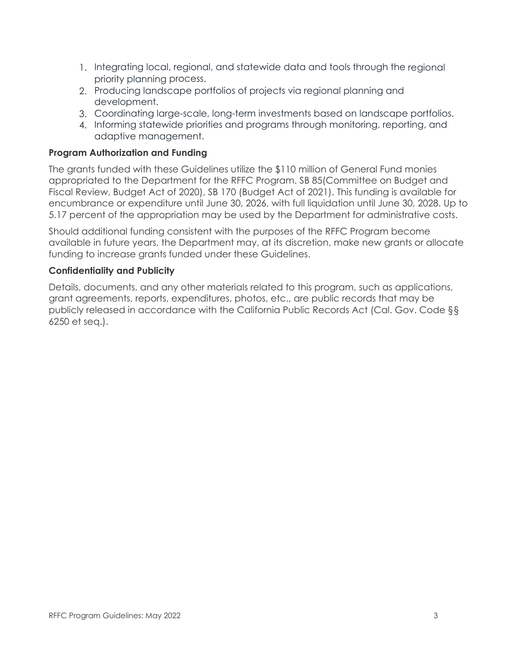- 1. Integrating local, regional, and statewide data and tools through the regional priority planning process.
- 2. Producing landscape portfolios of projects via regional planning and development.
- 3. Coordinating large-scale, long-term investments based on landscape portfolios.
- 4. Informing statewide priorities and programs through monitoring, reporting, and adaptive management.

## <span id="page-6-0"></span>**Program Authorization and Funding**

The grants funded with these Guidelines utilize the \$110 million of General Fund monies appropriated to the Department for the RFFC Program. SB 85(Committee on Budget and Fiscal Review, Budget Act of 2020), SB 170 (Budget Act of 2021). This funding is available for encumbrance or expenditure until June 30, 2026, with full liquidation until June 30, 2028. Up to 5.17 percent of the appropriation may be used by the Department for administrative costs.

Should additional funding consistent with the purposes of the RFFC Program become available in future years, the Department may, at its discretion, make new grants or allocate funding to increase grants funded under these Guidelines.

## <span id="page-6-1"></span>**Confidentiality and Publicity**

Details, documents, and any other materials related to this program, such as applications, grant agreements, reports, expenditures, photos, etc., are public records that may be publicly released in accordance with the California Public Records Act (Cal. Gov. Code §§ 6250 et seq.).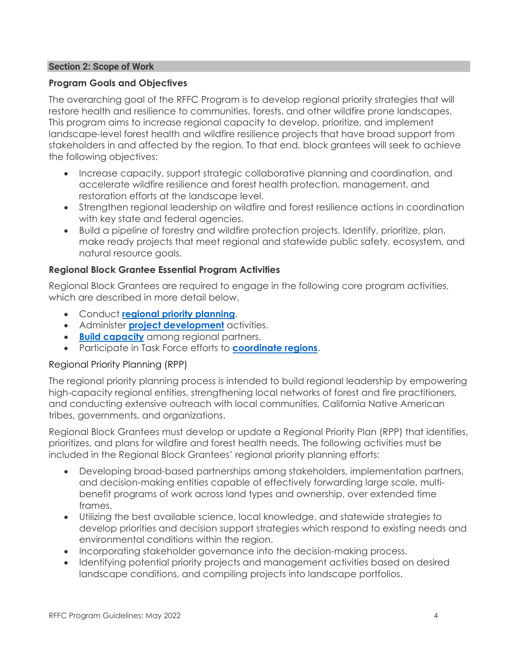#### <span id="page-7-0"></span>**Section 2: Scope of Work**

## <span id="page-7-1"></span>**Program Goals and Objectives**

The overarching goal of the RFFC Program is to develop regional priority strategies that will restore health and resilience to communities, forests, and other wildfire prone landscapes. This program aims to increase regional capacity to develop, prioritize, and implement landscape-level forest health and wildfire resilience projects that have broad support from stakeholders in and affected by the region. To that end, block grantees will seek to achieve the following objectives:

- Increase capacity, support strategic collaborative planning and coordination, and accelerate wildfire resilience and forest health protection, management, and restoration efforts at the landscape level.
- Strengthen regional leadership on wildfire and forest resilience actions in coordination with key state and federal agencies.
- Build a pipeline of forestry and wildfire protection projects. Identify, prioritize, plan, make ready projects that meet regional and statewide public safety, ecosystem, and natural resource goals.

## <span id="page-7-2"></span>**Regional Block Grantee Essential Program Activities**

Regional Block Grantees are required to engage in the following core program activities, which are described in more detail below.

- Conduct **[regional priority planning](#page-7-3)**.
- Administer **[project development](#page-8-0)** activities.
- **[Build capacity](#page-8-1)** among regional partners.
- Participate in Task Force efforts to **[coordinate regions](#page-9-0)**.

## <span id="page-7-3"></span>Regional Priority Planning (RPP)

The regional priority planning process is intended to build regional leadership by empowering high-capacity regional entities, strengthening local networks of forest and fire practitioners, and conducting extensive outreach with local communities, California Native American tribes, governments, and organizations.

Regional Block Grantees must develop or update a Regional Priority Plan (RPP) that identifies, prioritizes, and plans for wildfire and forest health needs. The following activities must be included in the Regional Block Grantees' regional priority planning efforts:

- Developing broad-based partnerships among stakeholders, implementation partners, and decision-making entities capable of effectively forwarding large scale, multibenefit programs of work across land types and ownership, over extended time frames.
- Utilizing the best available science, local knowledge, and statewide strategies to develop priorities and decision support strategies which respond to existing needs and environmental conditions within the region.
- Incorporating stakeholder governance into the decision-making process.
- Identifying potential priority projects and management activities based on desired landscape conditions, and compiling projects into landscape portfolios.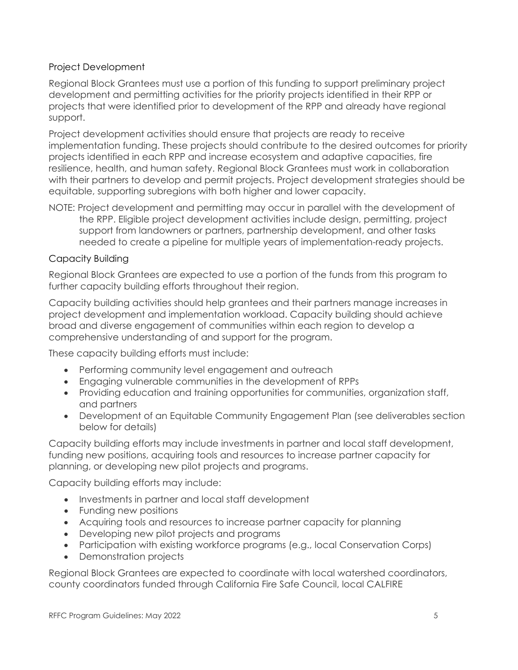## <span id="page-8-0"></span>Project Development

Regional Block Grantees must use a portion of this funding to support preliminary project development and permitting activities for the priority projects identified in their RPP or projects that were identified prior to development of the RPP and already have regional support.

Project development activities should ensure that projects are ready to receive implementation funding. These projects should contribute to the desired outcomes for priority projects identified in each RPP and increase ecosystem and adaptive capacities, fire resilience, health, and human safety. Regional Block Grantees must work in collaboration with their partners to develop and permit projects. Project development strategies should be equitable, supporting subregions with both higher and lower capacity.

NOTE: Project development and permitting may occur in parallel with the development of the RPP. Eligible project development activities include design, permitting, project support from landowners or partners, partnership development, and other tasks needed to create a pipeline for multiple years of implementation-ready projects.

## <span id="page-8-1"></span>Capacity Building

Regional Block Grantees are expected to use a portion of the funds from this program to further capacity building efforts throughout their region.

Capacity building activities should help grantees and their partners manage increases in project development and implementation workload. Capacity building should achieve broad and diverse engagement of communities within each region to develop a comprehensive understanding of and support for the program.

These capacity building efforts must include:

- Performing community level engagement and outreach
- Engaging vulnerable communities in the development of RPPs
- Providing education and training opportunities for communities, organization staff, and partners
- Development of an Equitable Community Engagement Plan (see deliverables section below for details)

Capacity building efforts may include investments in partner and local staff development, funding new positions, acquiring tools and resources to increase partner capacity for planning, or developing new pilot projects and programs.

Capacity building efforts may include:

- Investments in partner and local staff development
- Funding new positions
- Acquiring tools and resources to increase partner capacity for planning
- Developing new pilot projects and programs
- Participation with existing workforce programs (e.g., local Conservation Corps)
- Demonstration projects

Regional Block Grantees are expected to coordinate with local watershed coordinators, county coordinators funded through California Fire Safe Council, local CALFIRE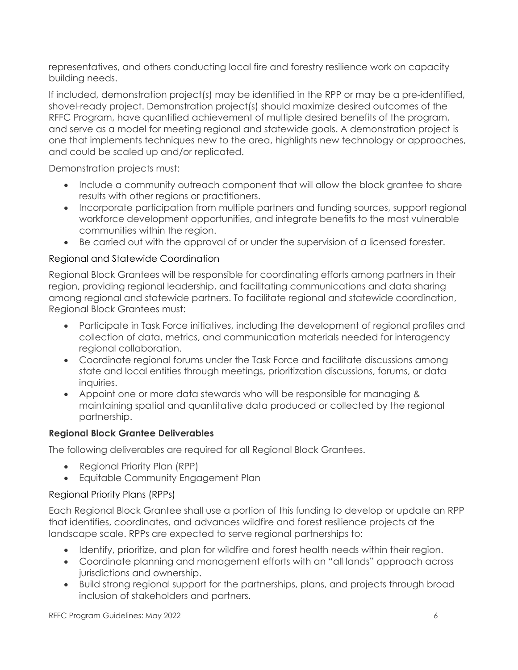representatives, and others conducting local fire and forestry resilience work on capacity building needs.

If included, demonstration project(s) may be identified in the RPP or may be a pre-identified, shovel-ready project. Demonstration project(s) should maximize desired outcomes of the RFFC Program, have quantified achievement of multiple desired benefits of the program, and serve as a model for meeting regional and statewide goals. A demonstration project is one that implements techniques new to the area, highlights new technology or approaches, and could be scaled up and/or replicated.

Demonstration projects must:

- Include a community outreach component that will allow the block grantee to share results with other regions or practitioners.
- Incorporate participation from multiple partners and funding sources, support regional workforce development opportunities, and integrate benefits to the most vulnerable communities within the region.
- Be carried out with the approval of or under the supervision of a licensed forester.

# <span id="page-9-0"></span>Regional and Statewide Coordination

Regional Block Grantees will be responsible for coordinating efforts among partners in their region, providing regional leadership, and facilitating communications and data sharing among regional and statewide partners. To facilitate regional and statewide coordination, Regional Block Grantees must:

- Participate in Task Force initiatives, including the development of regional profiles and collection of data, metrics, and communication materials needed for interagency regional collaboration.
- Coordinate regional forums under the Task Force and facilitate discussions among state and local entities through meetings, prioritization discussions, forums, or data inquiries.
- Appoint one or more data stewards who will be responsible for managing & maintaining spatial and quantitative data produced or collected by the regional partnership.

# <span id="page-9-1"></span>**Regional Block Grantee Deliverables**

The following deliverables are required for all Regional Block Grantees.

- Regional Priority Plan (RPP)
- Equitable Community Engagement Plan

# <span id="page-9-2"></span>Regional Priority Plans (RPPs)

Each Regional Block Grantee shall use a portion of this funding to develop or update an RPP that identifies, coordinates, and advances wildfire and forest resilience projects at the landscape scale. RPPs are expected to serve regional partnerships to:

- Identify, prioritize, and plan for wildfire and forest health needs within their region.
- Coordinate planning and management efforts with an "all lands" approach across jurisdictions and ownership.
- Build strong regional support for the partnerships, plans, and projects through broad inclusion of stakeholders and partners.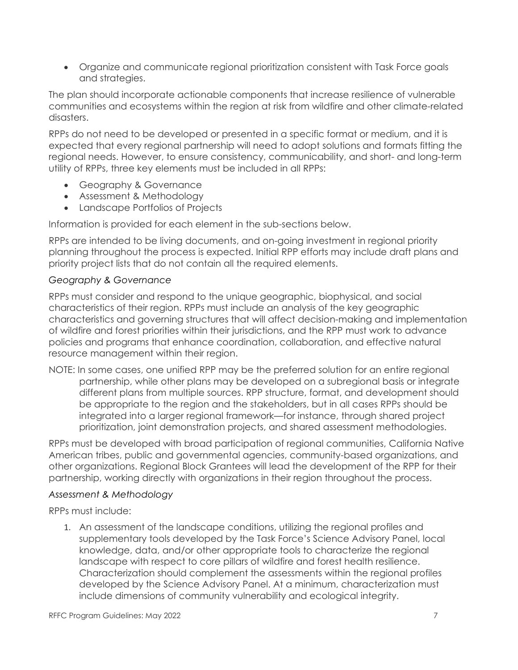• Organize and communicate regional prioritization consistent with Task Force goals and strategies.

The plan should incorporate actionable components that increase resilience of vulnerable communities and ecosystems within the region at risk from wildfire and other climate-related disasters.

RPPs do not need to be developed or presented in a specific format or medium, and it is expected that every regional partnership will need to adopt solutions and formats fitting the regional needs. However, to ensure consistency, communicability, and short- and long-term utility of RPPs, three key elements must be included in all RPPs:

- Geography & Governance
- Assessment & Methodology
- Landscape Portfolios of Projects

Information is provided for each element in the sub-sections below.

RPPs are intended to be living documents, and on-going investment in regional priority planning throughout the process is expected. Initial RPP efforts may include draft plans and priority project lists that do not contain all the required elements.

## *Geography & Governance*

RPPs must consider and respond to the unique geographic, biophysical, and social characteristics of their region. RPPs must include an analysis of the key geographic characteristics and governing structures that will affect decision-making and implementation of wildfire and forest priorities within their jurisdictions, and the RPP must work to advance policies and programs that enhance coordination, collaboration, and effective natural resource management within their region.

NOTE: In some cases, one unified RPP may be the preferred solution for an entire regional partnership, while other plans may be developed on a subregional basis or integrate different plans from multiple sources. RPP structure, format, and development should be appropriate to the region and the stakeholders, but in all cases RPPs should be integrated into a larger regional framework—for instance, through shared project prioritization, joint demonstration projects, and shared assessment methodologies.

RPPs must be developed with broad participation of regional communities, California Native American tribes, public and governmental agencies, community-based organizations, and other organizations. Regional Block Grantees will lead the development of the RPP for their partnership, working directly with organizations in their region throughout the process.

## *Assessment & Methodology*

RPPs must include:

1. An assessment of the landscape conditions, utilizing the regional profiles and supplementary tools developed by the Task Force's Science Advisory Panel, local knowledge, data, and/or other appropriate tools to characterize the regional landscape with respect to core pillars of wildfire and forest health resilience. Characterization should complement the assessments within the regional profiles developed by the Science Advisory Panel. At a minimum, characterization must include dimensions of community vulnerability and ecological integrity.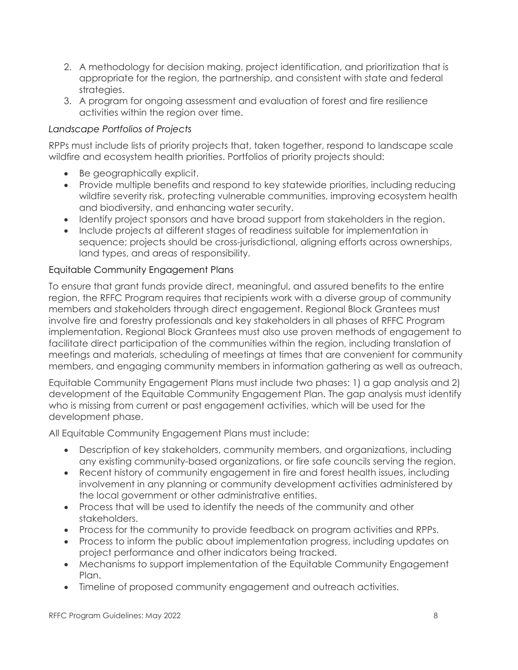- 2. A methodology for decision making, project identification, and prioritization that is appropriate for the region, the partnership, and consistent with state and federal strategies.
- 3. A program for ongoing assessment and evaluation of forest and fire resilience activities within the region over time.

## *Landscape Portfolios of Projects*

RPPs must include lists of priority projects that, taken together, respond to landscape scale wildfire and ecosystem health priorities. Portfolios of priority projects should:

- Be geographically explicit.
- Provide multiple benefits and respond to key statewide priorities, including reducing wildfire severity risk, protecting vulnerable communities, improving ecosystem health and biodiversity, and enhancing water security.
- Identify project sponsors and have broad support from stakeholders in the region.
- Include projects at different stages of readiness suitable for implementation in sequence; projects should be cross-jurisdictional, aligning efforts across ownerships, land types, and areas of responsibility.

## <span id="page-11-0"></span>Equitable Community Engagement Plans

To ensure that grant funds provide direct, meaningful, and assured benefits to the entire region, the RFFC Program requires that recipients work with a diverse group of community members and stakeholders through direct engagement. Regional Block Grantees must involve fire and forestry professionals and key stakeholders in all phases of RFFC Program implementation. Regional Block Grantees must also use proven methods of engagement to facilitate direct participation of the communities within the region, including translation of meetings and materials, scheduling of meetings at times that are convenient for community members, and engaging community members in information gathering as well as outreach.

Equitable Community Engagement Plans must include two phases: 1) a gap analysis and 2) development of the Equitable Community Engagement Plan. The gap analysis must identify who is missing from current or past engagement activities, which will be used for the development phase.

All Equitable Community Engagement Plans must include:

- Description of key stakeholders, community members, and organizations, including any existing community-based organizations, or fire safe councils serving the region.
- Recent history of community engagement in fire and forest health issues, including involvement in any planning or community development activities administered by the local government or other administrative entities.
- Process that will be used to identify the needs of the community and other stakeholders.
- Process for the community to provide feedback on program activities and RPPs.
- Process to inform the public about implementation progress, including updates on project performance and other indicators being tracked.
- Mechanisms to support implementation of the Equitable Community Engagement Plan.
- Timeline of proposed community engagement and outreach activities.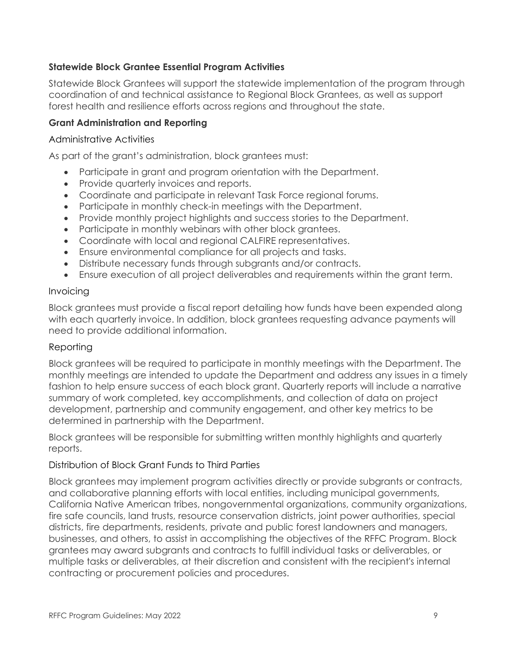## <span id="page-12-0"></span>**Statewide Block Grantee Essential Program Activities**

Statewide Block Grantees will support the statewide implementation of the program through coordination of and technical assistance to Regional Block Grantees, as well as support forest health and resilience efforts across regions and throughout the state.

## <span id="page-12-1"></span>**Grant Administration and Reporting**

## <span id="page-12-2"></span>Administrative Activities

As part of the grant's administration, block grantees must:

- Participate in grant and program orientation with the Department.
- Provide quarterly invoices and reports.
- Coordinate and participate in relevant Task Force regional forums.
- Participate in monthly check-in meetings with the Department.
- Provide monthly project highlights and success stories to the Department.
- Participate in monthly webinars with other block grantees.
- Coordinate with local and regional CALFIRE representatives.
- Ensure environmental compliance for all projects and tasks.
- Distribute necessary funds through subgrants and/or contracts.
- Ensure execution of all project deliverables and requirements within the grant term.

## <span id="page-12-3"></span>Invoicing

Block grantees must provide a fiscal report detailing how funds have been expended along with each quarterly invoice. In addition, block grantees requesting advance payments will need to provide additional information.

# <span id="page-12-4"></span>Reporting

Block grantees will be required to participate in monthly meetings with the Department. The monthly meetings are intended to update the Department and address any issues in a timely fashion to help ensure success of each block grant. Quarterly reports will include a narrative summary of work completed, key accomplishments, and collection of data on project development, partnership and community engagement, and other key metrics to be determined in partnership with the Department.

Block grantees will be responsible for submitting written monthly highlights and quarterly reports.

## <span id="page-12-5"></span>Distribution of Block Grant Funds to Third Parties

Block grantees may implement program activities directly or provide subgrants or contracts, and collaborative planning efforts with local entities, including municipal governments, California Native American tribes, nongovernmental organizations, community organizations, fire safe councils, land trusts, resource conservation districts, joint power authorities, special districts, fire departments, residents, private and public forest landowners and managers, businesses, and others, to assist in accomplishing the objectives of the RFFC Program. Block grantees may award subgrants and contracts to fulfill individual tasks or deliverables, or multiple tasks or deliverables, at their discretion and consistent with the recipient's internal contracting or procurement policies and procedures.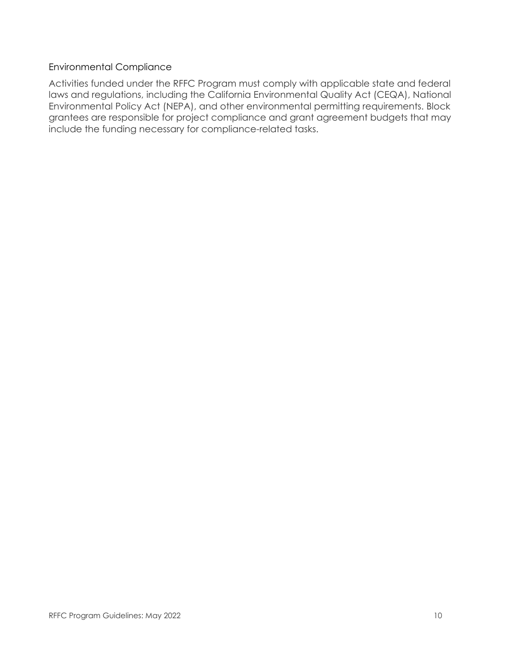## <span id="page-13-0"></span>Environmental Compliance

Activities funded under the RFFC Program must comply with applicable state and federal laws and regulations, including the California Environmental Quality Act (CEQA), National Environmental Policy Act (NEPA), and other environmental permitting requirements. Block grantees are responsible for project compliance and grant agreement budgets that may include the funding necessary for compliance-related tasks.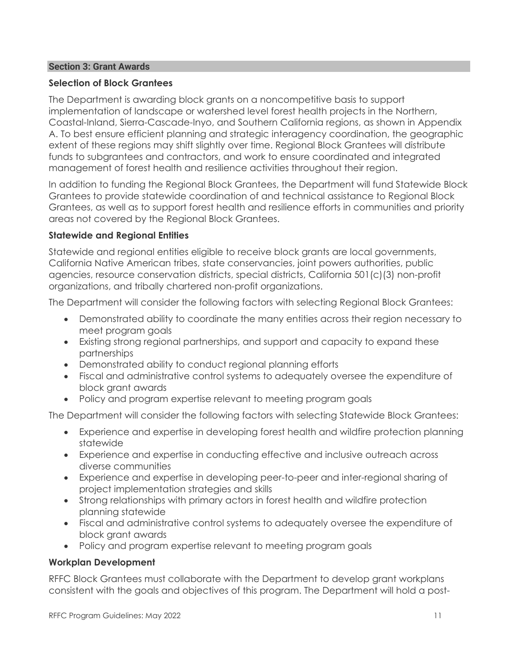#### <span id="page-14-0"></span>**Section 3: Grant Awards**

## <span id="page-14-1"></span>**Selection of Block Grantees**

The Department is awarding block grants on a noncompetitive basis to support implementation of landscape or watershed level forest health projects in the Northern, Coastal-Inland, Sierra-Cascade-Inyo, and Southern California regions, as shown in Appendix A. To best ensure efficient planning and strategic interagency coordination, the geographic extent of these regions may shift slightly over time. Regional Block Grantees will distribute funds to subgrantees and contractors, and work to ensure coordinated and integrated management of forest health and resilience activities throughout their region.

In addition to funding the Regional Block Grantees, the Department will fund Statewide Block Grantees to provide statewide coordination of and technical assistance to Regional Block Grantees, as well as to support forest health and resilience efforts in communities and priority areas not covered by the Regional Block Grantees.

## <span id="page-14-2"></span>**Statewide and Regional Entities**

Statewide and regional entities eligible to receive block grants are local governments, California Native American tribes, state conservancies, joint powers authorities, public agencies, resource conservation districts, special districts, California 501(c)(3) non-profit organizations, and tribally chartered non-profit organizations.

The Department will consider the following factors with selecting Regional Block Grantees:

- Demonstrated ability to coordinate the many entities across their region necessary to meet program goals
- Existing strong regional partnerships, and support and capacity to expand these partnerships
- Demonstrated ability to conduct regional planning efforts
- Fiscal and administrative control systems to adequately oversee the expenditure of block grant awards
- Policy and program expertise relevant to meeting program goals

The Department will consider the following factors with selecting Statewide Block Grantees:

- Experience and expertise in developing forest health and wildfire protection planning statewide
- Experience and expertise in conducting effective and inclusive outreach across diverse communities
- Experience and expertise in developing peer-to-peer and inter-regional sharing of project implementation strategies and skills
- Strong relationships with primary actors in forest health and wildfire protection planning statewide
- Fiscal and administrative control systems to adequately oversee the expenditure of block grant awards
- Policy and program expertise relevant to meeting program goals

#### <span id="page-14-3"></span>**Workplan Development**

RFFC Block Grantees must collaborate with the Department to develop grant workplans consistent with the goals and objectives of this program. The Department will hold a post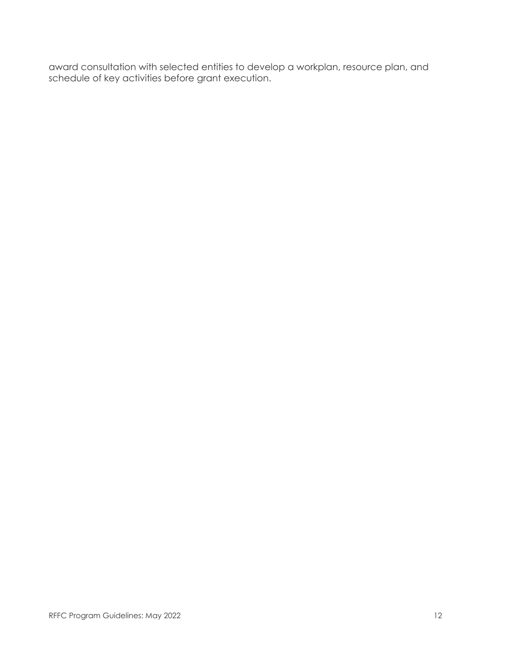award consultation with selected entities to develop a workplan, resource plan, and schedule of key activities before grant execution.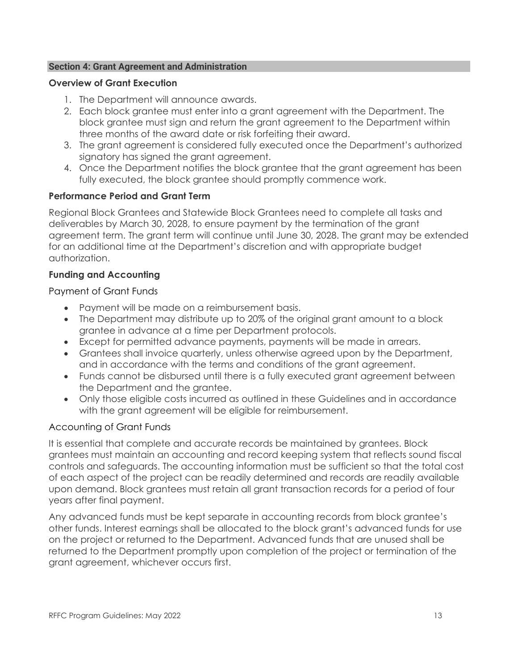#### <span id="page-16-0"></span>**Section 4: Grant Agreement and Administration**

## <span id="page-16-1"></span>**Overview of Grant Execution**

- 1. The Department will announce awards.
- 2. Each block grantee must enter into a grant agreement with the Department. The block grantee must sign and return the grant agreement to the Department within three months of the award date or risk forfeiting their award.
- 3. The grant agreement is considered fully executed once the Department's authorized signatory has signed the grant agreement.
- 4. Once the Department notifies the block grantee that the grant agreement has been fully executed, the block grantee should promptly commence work.

## <span id="page-16-2"></span>**Performance Period and Grant Term**

Regional Block Grantees and Statewide Block Grantees need to complete all tasks and deliverables by March 30, 2028, to ensure payment by the termination of the grant agreement term. The grant term will continue until June 30, 2028. The grant may be extended for an additional time at the Department's discretion and with appropriate budget authorization.

## <span id="page-16-3"></span>**Funding and Accounting**

## <span id="page-16-4"></span>Payment of Grant Funds

- Payment will be made on a reimbursement basis.
- The Department may distribute up to 20% of the original grant amount to a block grantee in advance at a time per Department protocols.
- Except for permitted advance payments, payments will be made in arrears.
- Grantees shall invoice quarterly, unless otherwise agreed upon by the Department, and in accordance with the terms and conditions of the grant agreement.
- Funds cannot be disbursed until there is a fully executed grant agreement between the Department and the grantee.
- Only those eligible costs incurred as outlined in these Guidelines and in accordance with the grant agreement will be eligible for reimbursement.

## <span id="page-16-5"></span>Accounting of Grant Funds

It is essential that complete and accurate records be maintained by grantees. Block grantees must maintain an accounting and record keeping system that reflects sound fiscal controls and safeguards. The accounting information must be sufficient so that the total cost of each aspect of the project can be readily determined and records are readily available upon demand. Block grantees must retain all grant transaction records for a period of four years after final payment.

Any advanced funds must be kept separate in accounting records from block grantee's other funds. Interest earnings shall be allocated to the block grant's advanced funds for use on the project or returned to the Department. Advanced funds that are unused shall be returned to the Department promptly upon completion of the project or termination of the grant agreement, whichever occurs first.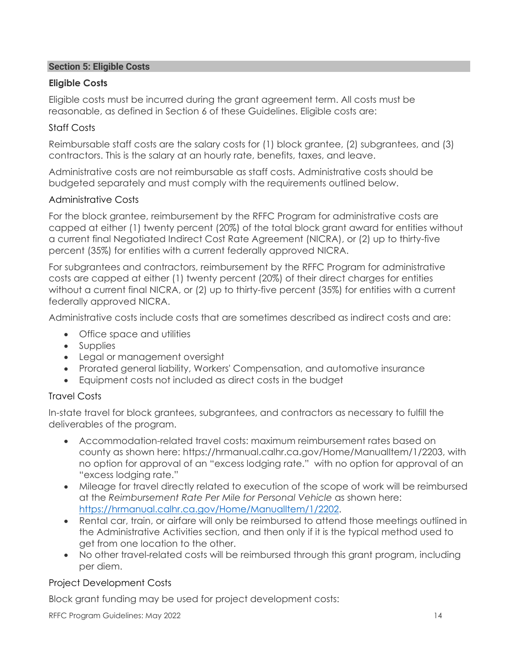## <span id="page-17-0"></span>**Section 5: Eligible Costs**

## <span id="page-17-1"></span>**Eligible Costs**

Eligible costs must be incurred during the grant agreement term. All costs must be reasonable, as defined in Section 6 of these Guidelines. Eligible costs are:

## <span id="page-17-2"></span>Staff Costs

Reimbursable staff costs are the salary costs for (1) block grantee, (2) subgrantees, and (3) contractors. This is the salary at an hourly rate, benefits, taxes, and leave.

Administrative costs are not reimbursable as staff costs. Administrative costs should be budgeted separately and must comply with the requirements outlined below.

## <span id="page-17-3"></span>Administrative Costs

For the block grantee, reimbursement by the RFFC Program for administrative costs are capped at either (1) twenty percent (20%) of the total block grant award for entities without a current final Negotiated Indirect Cost Rate Agreement (NICRA), or (2) up to thirty-five percent (35%) for entities with a current federally approved NICRA.

For subgrantees and contractors, reimbursement by the RFFC Program for administrative costs are capped at either (1) twenty percent (20%) of their direct charges for entities without a current final NICRA, or (2) up to thirty-five percent (35%) for entities with a current federally approved NICRA.

Administrative costs include costs that are sometimes described as indirect costs and are:

- Office space and utilities
- Supplies
- Legal or management oversight
- Prorated general liability, Workers' Compensation, and automotive insurance
- Equipment costs not included as direct costs in the budget

## <span id="page-17-4"></span>Travel Costs

In-state travel for block grantees, subgrantees, and contractors as necessary to fulfill the deliverables of the program.

- Accommodation-related travel costs: maximum reimbursement rates based on county as shown here: [https://hrmanual.calhr.ca.gov/Home/ManualItem/1/2203,](https://hrmanual.calhr.ca.gov/Home/ManualItem/1/2203) with no option for approval of an "excess lodging rate." with no option for approval of an "excess lodging rate."
- Mileage for travel directly related to execution of the scope of work will be reimbursed at the *Reimbursement Rate Per Mile for Personal Vehicle* as shown here: https://hrmanual.calhr.ca.gov/Home/ManualItem/1/2202.
- Rental car, train, or airfare will only be reimbursed to attend those meetings outlined in the Administrative Activities section, and then only if it is the typical method used to get from one location to the other.
- No other travel-related costs will be reimbursed through this grant program, including per diem.

## <span id="page-17-5"></span>Project Development Costs

Block grant funding may be used for project development costs:

RFFC Program Guidelines: May 2022 14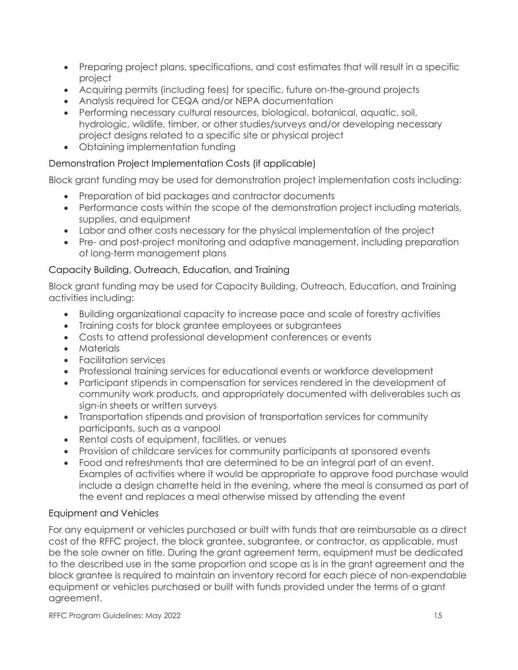- Preparing project plans, specifications, and cost estimates that will result in a specific project
- Acquiring permits (including fees) for specific, future on-the-ground projects
- Analysis required for CEQA and/or NEPA documentation
- Performing necessary cultural resources, biological, botanical, aquatic, soil, hydrologic, wildlife, timber, or other studies/surveys and/or developing necessary project designs related to a specific site or physical project
- Obtaining implementation funding

## <span id="page-18-0"></span>Demonstration Project Implementation Costs (if applicable)

Block grant funding may be used for demonstration project implementation costs including:

- Preparation of bid packages and contractor documents
- Performance costs within the scope of the demonstration project including materials, supplies, and equipment
- Labor and other costs necessary for the physical implementation of the project
- Pre- and post-project monitoring and adaptive management, including preparation of long-term management plans

## <span id="page-18-1"></span>Capacity Building, Outreach, Education, and Training

Block grant funding may be used for Capacity Building, Outreach, Education, and Training activities including:

- Building organizational capacity to increase pace and scale of forestry activities
- Training costs for block grantee employees or subgrantees
- Costs to attend professional development conferences or events
- Materials
- Facilitation services
- Professional training services for educational events or workforce development
- Participant stipends in compensation for services rendered in the development of community work products, and appropriately documented with deliverables such as sign-in sheets or written surveys
- Transportation stipends and provision of transportation services for community participants, such as a vanpool
- Rental costs of equipment, facilities, or venues
- Provision of childcare services for community participants at sponsored events
- Food and refreshments that are determined to be an integral part of an event. Examples of activities where it would be appropriate to approve food purchase would include a design charrette held in the evening, where the meal is consumed as part of the event and replaces a meal otherwise missed by attending the event

## <span id="page-18-2"></span>Equipment and Vehicles

For any equipment or vehicles purchased or built with funds that are reimbursable as a direct cost of the RFFC project, the block grantee, subgrantee, or contractor, as applicable, must be the sole owner on title. During the grant agreement term, equipment must be dedicated to the described use in the same proportion and scope as is in the grant agreement and the block grantee is required to maintain an inventory record for each piece of non-expendable equipment or vehicles purchased or built with funds provided under the terms of a grant agreement.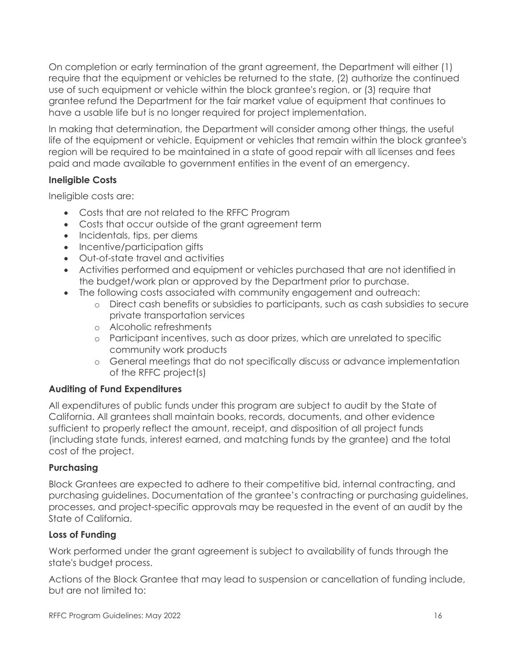On completion or early termination of the grant agreement, the Department will either (1) require that the equipment or vehicles be returned to the state, (2) authorize the continued use of such equipment or vehicle within the block grantee's region, or (3) require that grantee refund the Department for the fair market value of equipment that continues to have a usable life but is no longer required for project implementation.

In making that determination, the Department will consider among other things, the useful life of the equipment or vehicle. Equipment or vehicles that remain within the block grantee's region will be required to be maintained in a state of good repair with all licenses and fees paid and made available to government entities in the event of an emergency.

# <span id="page-19-0"></span>**Ineligible Costs**

Ineligible costs are:

- Costs that are not related to the RFFC Program
- Costs that occur outside of the grant agreement term
- Incidentals, tips, per diems
- Incentive/participation gifts
- Out-of-state travel and activities
- Activities performed and equipment or vehicles purchased that are not identified in the budget/work plan or approved by the Department prior to purchase.
- The following costs associated with community engagement and outreach:
	- o Direct cash benefits or subsidies to participants, such as cash subsidies to secure private transportation services
	- o Alcoholic refreshments
	- o Participant incentives, such as door prizes, which are unrelated to specific community work products
	- o General meetings that do not specifically discuss or advance implementation of the RFFC project(s)

# <span id="page-19-1"></span>**Auditing of Fund Expenditures**

All expenditures of public funds under this program are subject to audit by the State of California. All grantees shall maintain books, records, documents, and other evidence sufficient to properly reflect the amount, receipt, and disposition of all project funds (including state funds, interest earned, and matching funds by the grantee) and the total cost of the project.

# <span id="page-19-2"></span>**Purchasing**

Block Grantees are expected to adhere to their competitive bid, internal contracting, and purchasing guidelines. Documentation of the grantee's contracting or purchasing guidelines, processes, and project-specific approvals may be requested in the event of an audit by the State of California.

## <span id="page-19-3"></span>**Loss of Funding**

Work performed under the grant agreement is subject to availability of funds through the state's budget process.

Actions of the Block Grantee that may lead to suspension or cancellation of funding include, but are not limited to: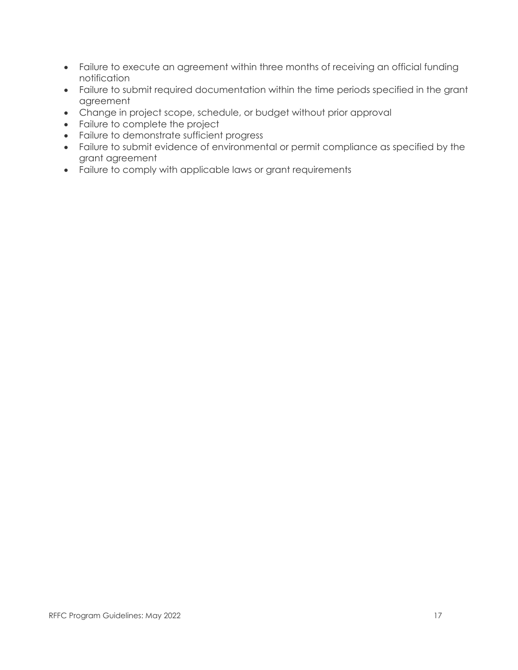- Failure to execute an agreement within three months of receiving an official funding notification
- Failure to submit required documentation within the time periods specified in the grant agreement
- Change in project scope, schedule, or budget without prior approval
- Failure to complete the project
- Failure to demonstrate sufficient progress
- Failure to submit evidence of environmental or permit compliance as specified by the grant agreement
- Failure to comply with applicable laws or grant requirements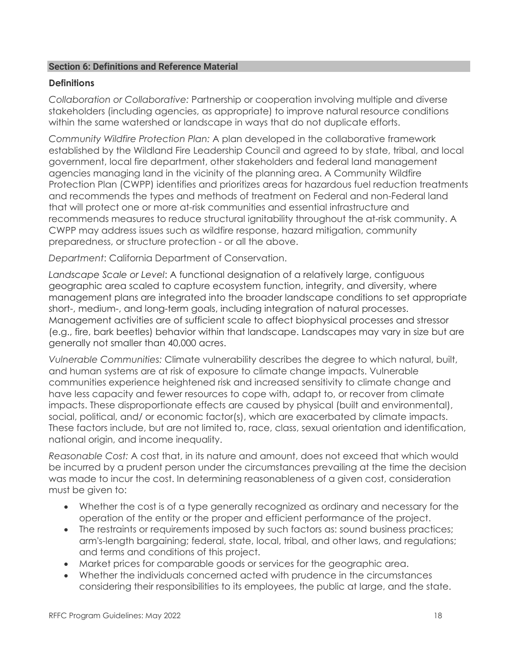#### <span id="page-21-0"></span>**Section 6: Definitions and Reference Material**

## <span id="page-21-1"></span>**Definitions**

*Collaboration or Collaborative:* Partnership or cooperation involving multiple and diverse stakeholders (including agencies, as appropriate) to improve natural resource conditions within the same watershed or landscape in ways that do not duplicate efforts.

*Community Wildfire Protection Plan:* A plan developed in the collaborative framework established by the Wildland Fire Leadership Council and agreed to by state, tribal, and local government, local fire department, other stakeholders and federal land management agencies managing land in the vicinity of the planning area. A Community Wildfire Protection Plan (CWPP) identifies and prioritizes areas for hazardous fuel reduction treatments and recommends the types and methods of treatment on Federal and non-Federal land that will protect one or more at-risk communities and essential infrastructure and recommends measures to reduce structural ignitability throughout the at-risk community. A CWPP may address issues such as wildfire response, hazard mitigation, community preparedness, or structure protection - or all the above.

*Department*: California Department of Conservation.

*Landscape Scale or Level*: A functional designation of a relatively large, contiguous geographic area scaled to capture ecosystem function, integrity, and diversity, where management plans are integrated into the broader landscape conditions to set appropriate short-, medium-, and long-term goals, including integration of natural processes. Management activities are of sufficient scale to affect biophysical processes and stressor (e.g., fire, bark beetles) behavior within that landscape. Landscapes may vary in size but are generally not smaller than 40,000 acres.

*Vulnerable Communities:* Climate vulnerability describes the degree to which natural, built, and human systems are at risk of exposure to climate change impacts. Vulnerable communities experience heightened risk and increased sensitivity to climate change and have less capacity and fewer resources to cope with, adapt to, or recover from climate impacts. These disproportionate effects are caused by physical (built and environmental), social, political, and/ or economic factor(s), which are exacerbated by climate impacts. These factors include, but are not limited to, race, class, sexual orientation and identification, national origin, and income inequality.

*Reasonable Cost:* A cost that, in its nature and amount, does not exceed that which would be incurred by a prudent person under the circumstances prevailing at the time the decision was made to incur the cost. In determining reasonableness of a given cost, consideration must be given to:

- Whether the cost is of a type generally recognized as ordinary and necessary for the operation of the entity or the proper and efficient performance of the project.
- The restraints or requirements imposed by such factors as: sound business practices; arm's-length bargaining; federal, state, local, tribal, and other laws, and regulations; and terms and conditions of this project.
- Market prices for comparable goods or services for the geographic area.
- Whether the individuals concerned acted with prudence in the circumstances considering their responsibilities to its employees, the public at large, and the state.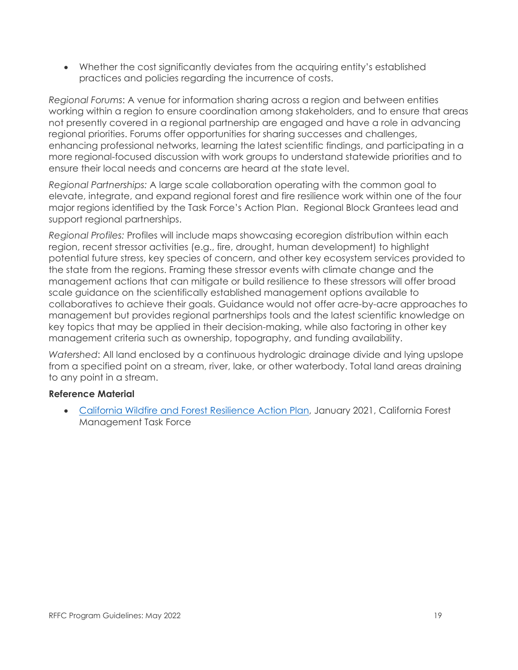• Whether the cost significantly deviates from the acquiring entity's established practices and policies regarding the incurrence of costs.

*Regional Forums*: A venue for information sharing across a region and between entities working within a region to ensure coordination among stakeholders, and to ensure that areas not presently covered in a regional partnership are engaged and have a role in advancing regional priorities. Forums offer opportunities for sharing successes and challenges, enhancing professional networks, learning the latest scientific findings, and participating in a more regional-focused discussion with work groups to understand statewide priorities and to ensure their local needs and concerns are heard at the state level.

*Regional Partnerships:* A large scale collaboration operating with the common goal to elevate, integrate, and expand regional forest and fire resilience work within one of the four major regions identified by the Task Force's Action Plan. Regional Block Grantees lead and support regional partnerships.

*Regional Profiles:* Profiles will include maps showcasing ecoregion distribution within each region, recent stressor activities (e.g., fire, drought, human development) to highlight potential future stress, key species of concern, and other key ecosystem services provided to the state from the regions. Framing these stressor events with climate change and the management actions that can mitigate or build resilience to these stressors will offer broad scale guidance on the scientifically established management options available to collaboratives to achieve their goals. Guidance would not offer acre-by-acre approaches to management but provides regional partnerships tools and the latest scientific knowledge on key topics that may be applied in their decision-making, while also factoring in other key management criteria such as ownership, topography, and funding availability.

*Watershed*: All land enclosed by a continuous hydrologic drainage divide and lying upslope from a specified point on a stream, river, lake, or other waterbody. Total land areas draining to any point in a stream.

#### <span id="page-22-0"></span>**Reference Material**

• [California Wildfire and Forest Resilience Action Plan,](https://fmtf.fire.ca.gov/media/cjwfpckz/californiawildfireandforestresilienceactionplan.pdf) January 2021, California Forest Management Task Force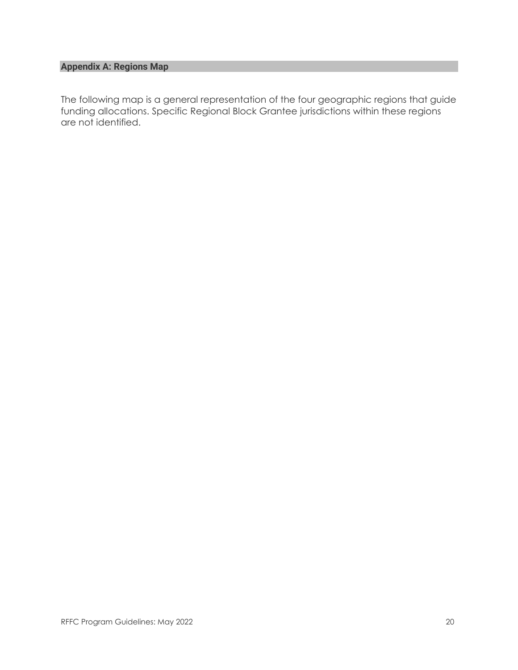## <span id="page-23-0"></span>**Appendix A: Regions Map**

The following map is a general representation of the four geographic regions that guide funding allocations. Specific Regional Block Grantee jurisdictions within these regions are not identified.